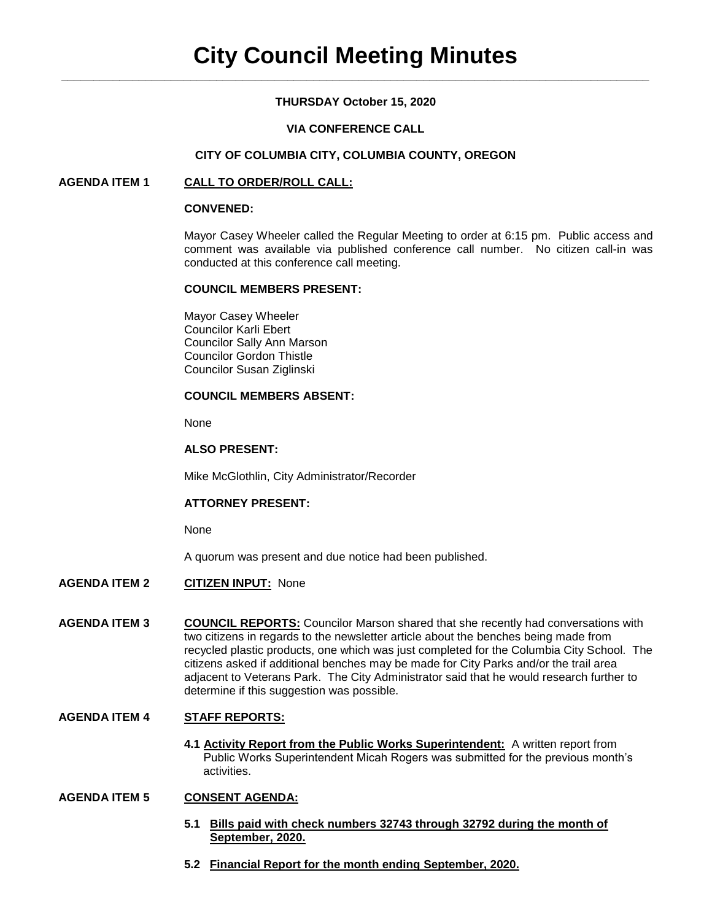## **THURSDAY October 15, 2020**

## **VIA CONFERENCE CALL**

## **CITY OF COLUMBIA CITY, COLUMBIA COUNTY, OREGON**

## **AGENDA ITEM 1 CALL TO ORDER/ROLL CALL:**

### **CONVENED:**

Mayor Casey Wheeler called the Regular Meeting to order at 6:15 pm. Public access and comment was available via published conference call number. No citizen call-in was conducted at this conference call meeting.

### **COUNCIL MEMBERS PRESENT:**

Mayor Casey Wheeler Councilor Karli Ebert Councilor Sally Ann Marson Councilor Gordon Thistle Councilor Susan Ziglinski

## **COUNCIL MEMBERS ABSENT:**

None

## **ALSO PRESENT:**

Mike McGlothlin, City Administrator/Recorder

#### **ATTORNEY PRESENT:**

None

A quorum was present and due notice had been published.

- **AGENDA ITEM 2 CITIZEN INPUT:** None
- **AGENDA ITEM 3 COUNCIL REPORTS:** Councilor Marson shared that she recently had conversations with two citizens in regards to the newsletter article about the benches being made from recycled plastic products, one which was just completed for the Columbia City School. The citizens asked if additional benches may be made for City Parks and/or the trail area adjacent to Veterans Park. The City Administrator said that he would research further to determine if this suggestion was possible.

# **AGENDA ITEM 4 STAFF REPORTS:**

**4.1 Activity Report from the Public Works Superintendent:** A written report from Public Works Superintendent Micah Rogers was submitted for the previous month's activities.

## **AGENDA ITEM 5 CONSENT AGENDA:**

- **5.1 Bills paid with check numbers 32743 through 32792 during the month of September, 2020.**
- **5.2 Financial Report for the month ending September, 2020.**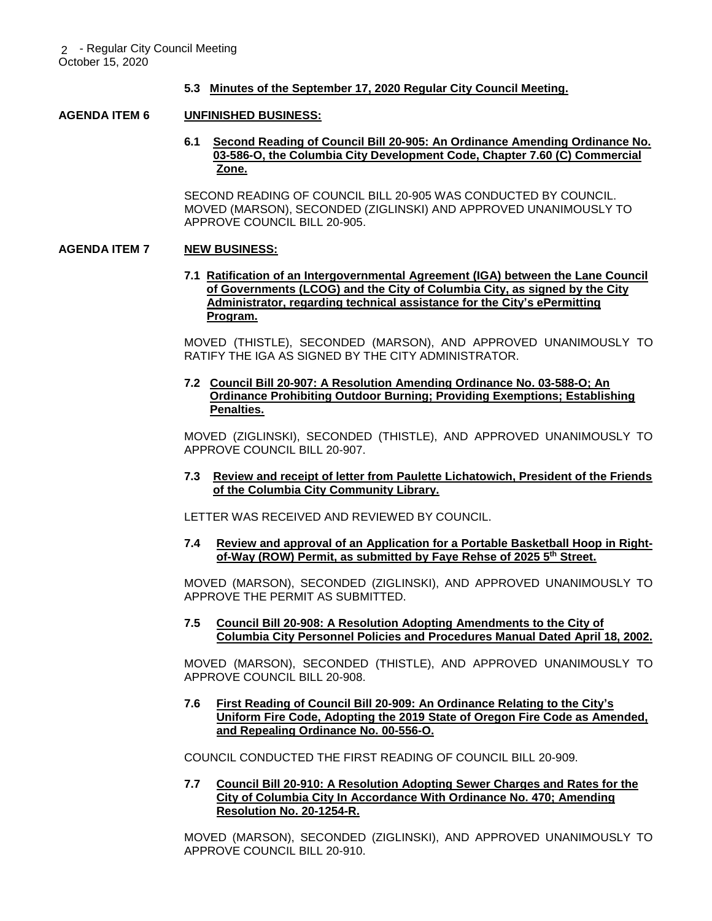## **5.3 Minutes of the September 17, 2020 Regular City Council Meeting.**

### **AGENDA ITEM 6 UNFINISHED BUSINESS:**

**6.1 Second Reading of Council Bill 20-905: An Ordinance Amending Ordinance No. 03-586-O, the Columbia City Development Code, Chapter 7.60 (C) Commercial Zone.**

SECOND READING OF COUNCIL BILL 20-905 WAS CONDUCTED BY COUNCIL. MOVED (MARSON), SECONDED (ZIGLINSKI) AND APPROVED UNANIMOUSLY TO APPROVE COUNCIL BILL 20-905.

### **AGENDA ITEM 7 NEW BUSINESS:**

**7.1 Ratification of an Intergovernmental Agreement (IGA) between the Lane Council of Governments (LCOG) and the City of Columbia City, as signed by the City Administrator, regarding technical assistance for the City's ePermitting Program.**

MOVED (THISTLE), SECONDED (MARSON), AND APPROVED UNANIMOUSLY TO RATIFY THE IGA AS SIGNED BY THE CITY ADMINISTRATOR.

**7.2 Council Bill 20-907: A Resolution Amending Ordinance No. 03-588-O; An Ordinance Prohibiting Outdoor Burning; Providing Exemptions; Establishing Penalties.**

MOVED (ZIGLINSKI), SECONDED (THISTLE), AND APPROVED UNANIMOUSLY TO APPROVE COUNCIL BILL 20-907.

**7.3 Review and receipt of letter from Paulette Lichatowich, President of the Friends of the Columbia City Community Library.**

LETTER WAS RECEIVED AND REVIEWED BY COUNCIL.

**7.4 Review and approval of an Application for a Portable Basketball Hoop in Right of-Way (ROW) Permit, as submitted by Faye Rehse of 2025 5th Street.** 

MOVED (MARSON), SECONDED (ZIGLINSKI), AND APPROVED UNANIMOUSLY TO APPROVE THE PERMIT AS SUBMITTED.

**7.5 Council Bill 20-908: A Resolution Adopting Amendments to the City of Columbia City Personnel Policies and Procedures Manual Dated April 18, 2002.**

MOVED (MARSON), SECONDED (THISTLE), AND APPROVED UNANIMOUSLY TO APPROVE COUNCIL BILL 20-908.

**7.6 First Reading of Council Bill 20-909: An Ordinance Relating to the City's Uniform Fire Code, Adopting the 2019 State of Oregon Fire Code as Amended, and Repealing Ordinance No. 00-556-O.** 

COUNCIL CONDUCTED THE FIRST READING OF COUNCIL BILL 20-909.

**7.7 Council Bill 20-910: A Resolution Adopting Sewer Charges and Rates for the City of Columbia City In Accordance With Ordinance No. 470; Amending Resolution No. 20-1254-R.**

MOVED (MARSON), SECONDED (ZIGLINSKI), AND APPROVED UNANIMOUSLY TO APPROVE COUNCIL BILL 20-910.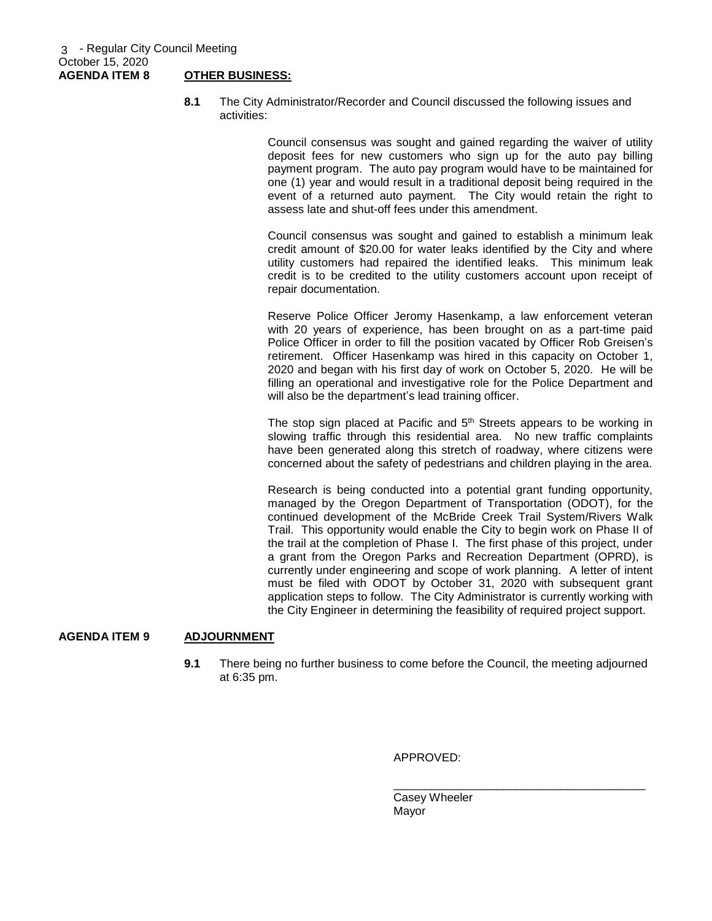**8.1** The City Administrator/Recorder and Council discussed the following issues and activities:

> Council consensus was sought and gained regarding the waiver of utility deposit fees for new customers who sign up for the auto pay billing payment program. The auto pay program would have to be maintained for one (1) year and would result in a traditional deposit being required in the event of a returned auto payment. The City would retain the right to assess late and shut-off fees under this amendment.

> Council consensus was sought and gained to establish a minimum leak credit amount of \$20.00 for water leaks identified by the City and where utility customers had repaired the identified leaks. This minimum leak credit is to be credited to the utility customers account upon receipt of repair documentation.

> Reserve Police Officer Jeromy Hasenkamp, a law enforcement veteran with 20 years of experience, has been brought on as a part-time paid Police Officer in order to fill the position vacated by Officer Rob Greisen's retirement. Officer Hasenkamp was hired in this capacity on October 1, 2020 and began with his first day of work on October 5, 2020. He will be filling an operational and investigative role for the Police Department and will also be the department's lead training officer.

> The stop sign placed at Pacific and  $5<sup>th</sup>$  Streets appears to be working in slowing traffic through this residential area. No new traffic complaints have been generated along this stretch of roadway, where citizens were concerned about the safety of pedestrians and children playing in the area.

> Research is being conducted into a potential grant funding opportunity, managed by the Oregon Department of Transportation (ODOT), for the continued development of the McBride Creek Trail System/Rivers Walk Trail. This opportunity would enable the City to begin work on Phase II of the trail at the completion of Phase I. The first phase of this project, under a grant from the Oregon Parks and Recreation Department (OPRD), is currently under engineering and scope of work planning. A letter of intent must be filed with ODOT by October 31, 2020 with subsequent grant application steps to follow. The City Administrator is currently working with the City Engineer in determining the feasibility of required project support.

## **AGENDA ITEM 9 ADJOURNMENT**

**9.1** There being no further business to come before the Council, the meeting adjourned at 6:35 pm.

APPROVED:

Casey Wheeler Mayor

\_\_\_\_\_\_\_\_\_\_\_\_\_\_\_\_\_\_\_\_\_\_\_\_\_\_\_\_\_\_\_\_\_\_\_\_\_\_\_